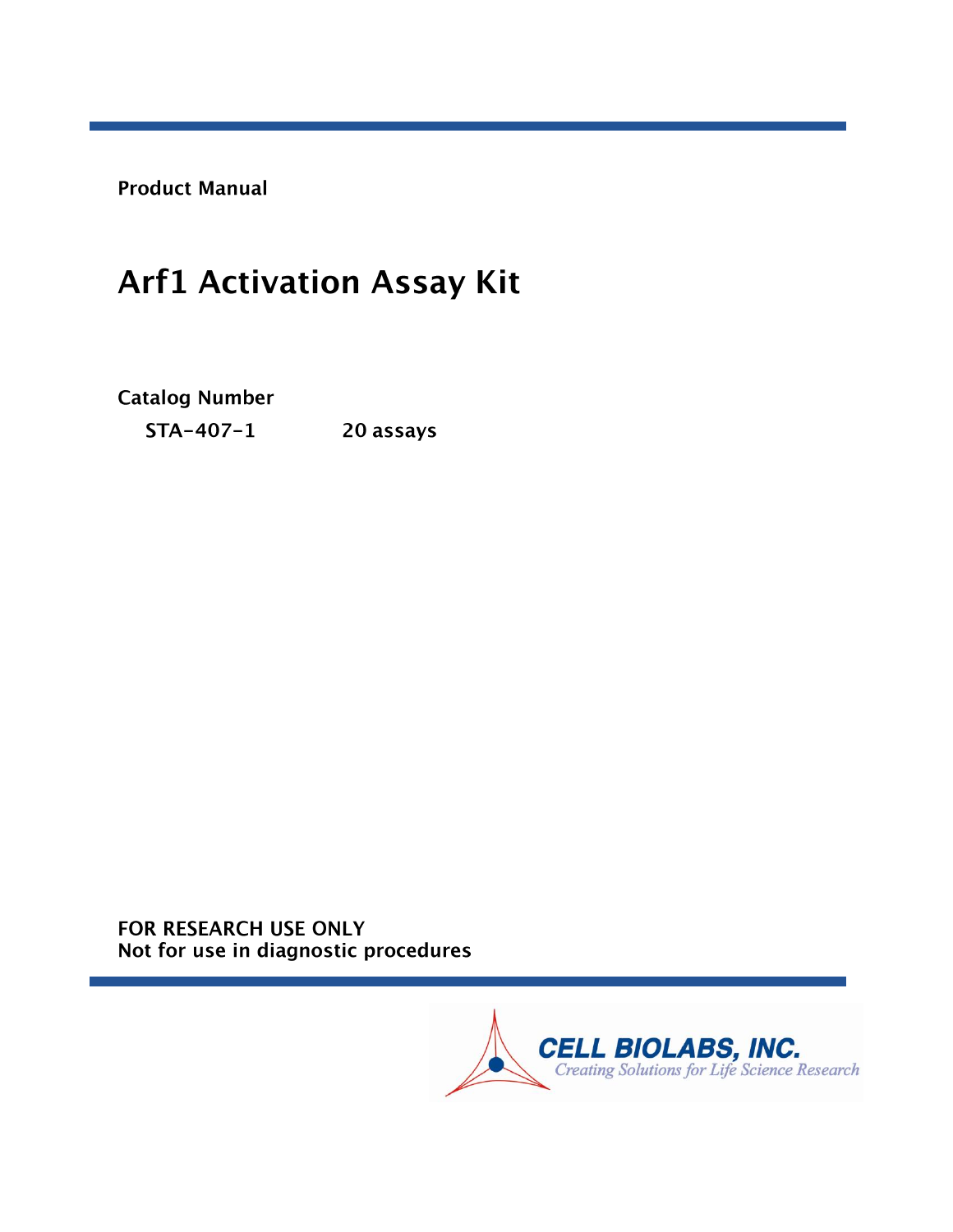**Product Manual** 

# **Arf1 Activation Assay Kit**

**Catalog Number** 

 $STA-407-1$ 20 assays

FOR RESEARCH USE ONLY Not for use in diagnostic procedures

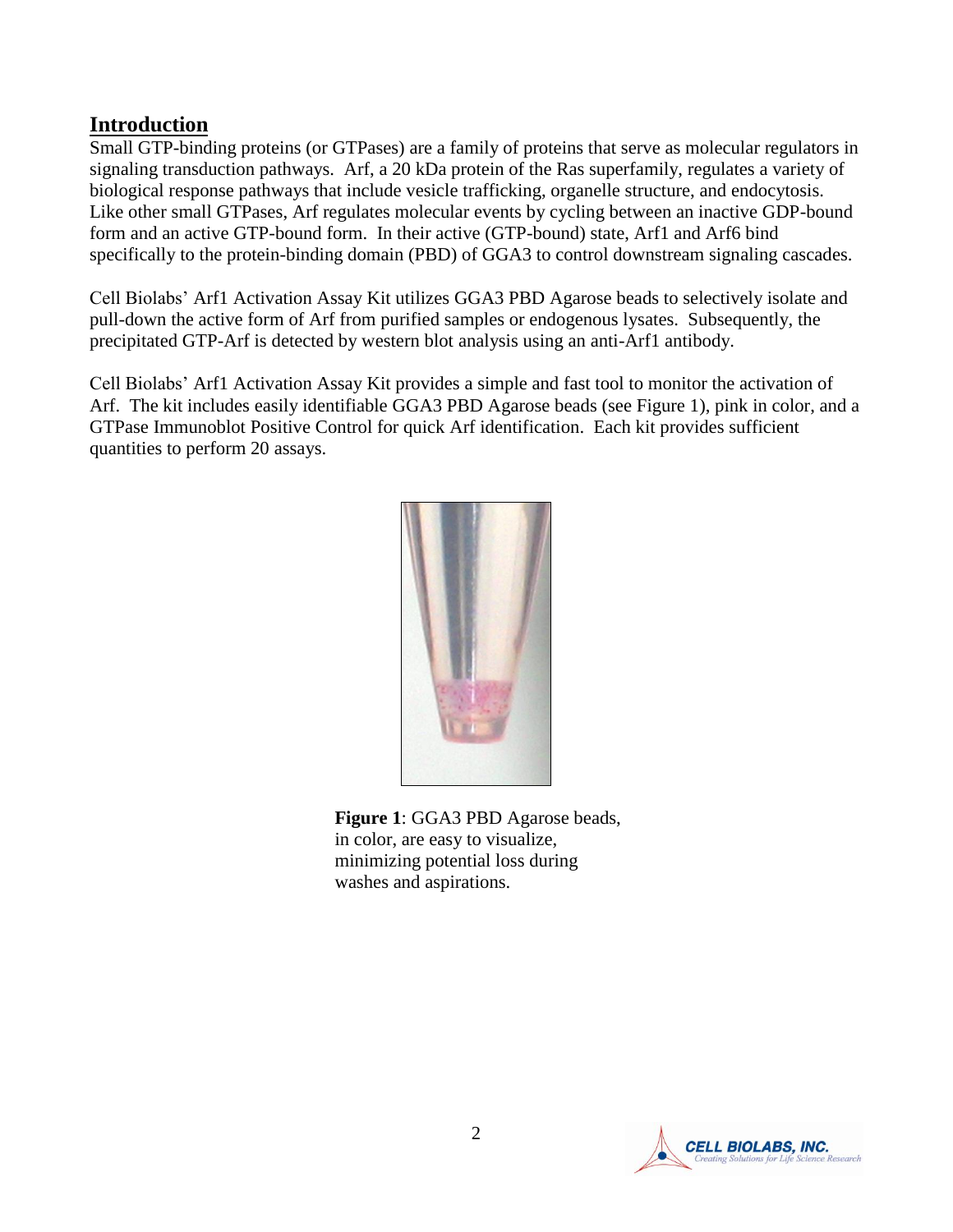## **Introduction**

Small GTP-binding proteins (or GTPases) are a family of proteins that serve as molecular regulators in signaling transduction pathways. Arf, a 20 kDa protein of the Ras superfamily, regulates a variety of biological response pathways that include vesicle trafficking, organelle structure, and endocytosis. Like other small GTPases, Arf regulates molecular events by cycling between an inactive GDP-bound form and an active GTP-bound form. In their active (GTP-bound) state, Arf1 and Arf6 bind specifically to the protein-binding domain (PBD) of GGA3 to control downstream signaling cascades.

Cell Biolabs' Arf1 Activation Assay Kit utilizes GGA3 PBD Agarose beads to selectively isolate and pull-down the active form of Arf from purified samples or endogenous lysates. Subsequently, the precipitated GTP-Arf is detected by western blot analysis using an anti-Arf1 antibody.

Cell Biolabs' Arf1 Activation Assay Kit provides a simple and fast tool to monitor the activation of Arf. The kit includes easily identifiable GGA3 PBD Agarose beads (see Figure 1), pink in color, and a GTPase Immunoblot Positive Control for quick Arf identification. Each kit provides sufficient quantities to perform 20 assays.



**Figure 1**: GGA3 PBD Agarose beads, in color, are easy to visualize, minimizing potential loss during washes and aspirations.

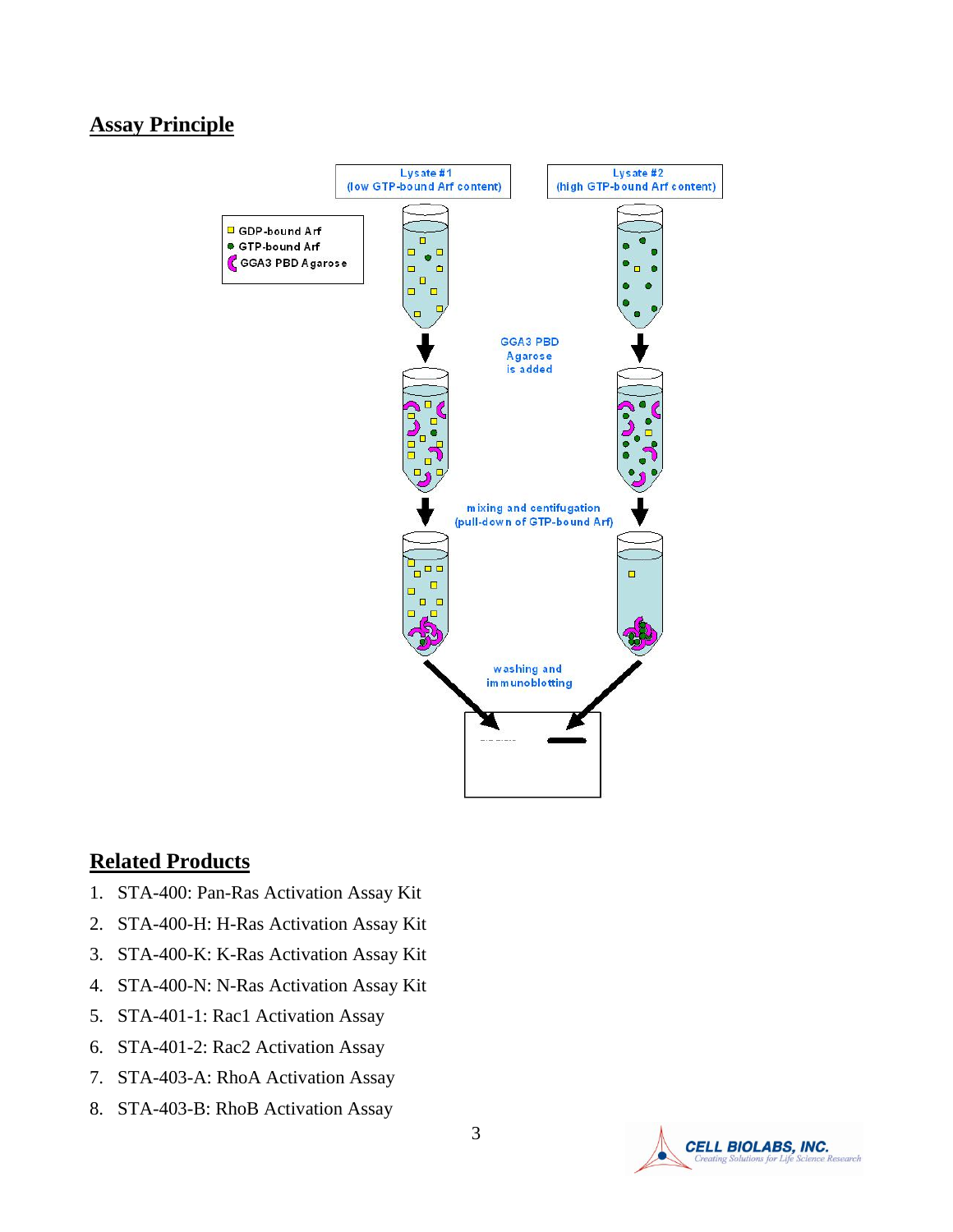## **Assay Principle**



#### **Related Products**

- 1. STA-400: Pan-Ras Activation Assay Kit
- 2. STA-400-H: H-Ras Activation Assay Kit
- 3. STA-400-K: K-Ras Activation Assay Kit
- 4. STA-400-N: N-Ras Activation Assay Kit
- 5. STA-401-1: Rac1 Activation Assay
- 6. STA-401-2: Rac2 Activation Assay
- 7. STA-403-A: RhoA Activation Assay
- 8. STA-403-B: RhoB Activation Assay

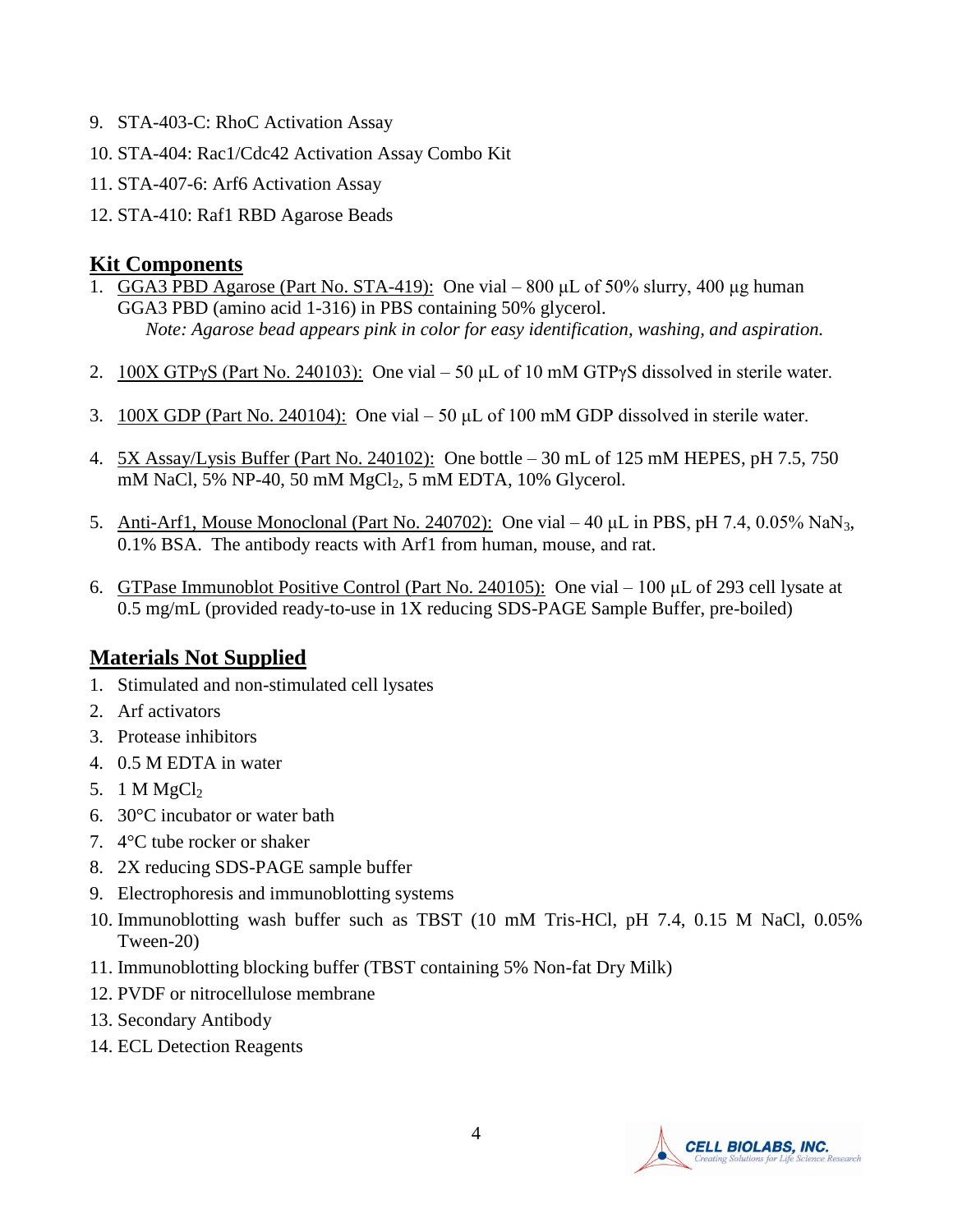- 9. STA-403-C: RhoC Activation Assay
- 10. STA-404: Rac1/Cdc42 Activation Assay Combo Kit
- 11. STA-407-6: Arf6 Activation Assay
- 12. STA-410: Raf1 RBD Agarose Beads

## **Kit Components**

- 1. GGA3 PBD Agarose (Part No. STA-419): One vial 800 μL of 50% slurry, 400 μg human GGA3 PBD (amino acid 1-316) in PBS containing 50% glycerol. *Note: Agarose bead appears pink in color for easy identification, washing, and aspiration.*
- 2.  $100X GTPyS (Part No. 240103)$ : One vial 50 µL of 10 mM GTPyS dissolved in sterile water.
- 3. 100X GDP (Part No. 240104): One vial 50 μL of 100 mM GDP dissolved in sterile water.
- 4. 5X Assay/Lysis Buffer (Part No. 240102): One bottle 30 mL of 125 mM HEPES, pH 7.5, 750 mM NaCl, 5% NP-40, 50 mM MgCl<sub>2</sub>, 5 mM EDTA, 10% Glycerol.
- 5. Anti-Arf1, Mouse Monoclonal (Part No. 240702): One vial 40 μL in PBS, pH 7.4, 0.05% NaN3, 0.1% BSA. The antibody reacts with Arf1 from human, mouse, and rat.
- 6. GTPase Immunoblot Positive Control (Part No. 240105): One vial 100 μL of 293 cell lysate at 0.5 mg/mL (provided ready-to-use in 1X reducing SDS-PAGE Sample Buffer, pre-boiled)

## **Materials Not Supplied**

- 1. Stimulated and non-stimulated cell lysates
- 2. Arf activators
- 3. Protease inhibitors
- 4. 0.5 M EDTA in water
- 5. 1 M  $MgCl<sub>2</sub>$
- 6. 30°C incubator or water bath
- 7. 4°C tube rocker or shaker
- 8. 2X reducing SDS-PAGE sample buffer
- 9. Electrophoresis and immunoblotting systems
- 10. Immunoblotting wash buffer such as TBST (10 mM Tris-HCl, pH 7.4, 0.15 M NaCl, 0.05% Tween-20)
- 11. Immunoblotting blocking buffer (TBST containing 5% Non-fat Dry Milk)
- 12. PVDF or nitrocellulose membrane
- 13. Secondary Antibody
- 14. ECL Detection Reagents

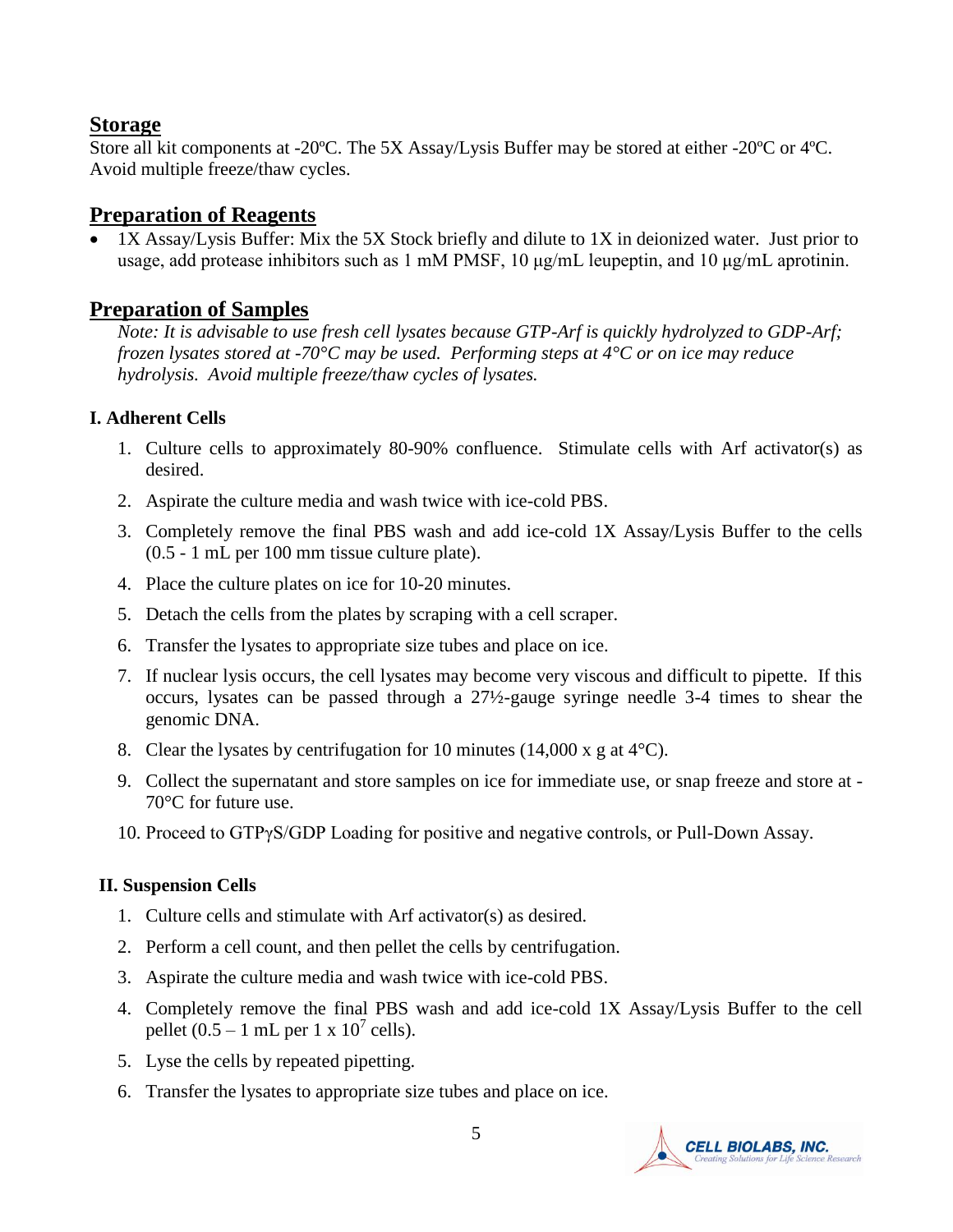#### **Storage**

Store all kit components at -20ºC. The 5X Assay/Lysis Buffer may be stored at either -20ºC or 4ºC. Avoid multiple freeze/thaw cycles.

## **Preparation of Reagents**

 1X Assay/Lysis Buffer: Mix the 5X Stock briefly and dilute to 1X in deionized water. Just prior to usage, add protease inhibitors such as 1 mM PMSF,  $10 \mu\text{g/mL}$  leupeptin, and  $10 \mu\text{g/mL}$  aprotinin.

#### **Preparation of Samples**

*Note: It is advisable to use fresh cell lysates because GTP-Arf is quickly hydrolyzed to GDP-Arf; frozen lysates stored at -70°C may be used. Performing steps at 4°C or on ice may reduce hydrolysis. Avoid multiple freeze/thaw cycles of lysates.* 

#### **I. Adherent Cells**

- 1. Culture cells to approximately 80-90% confluence. Stimulate cells with Arf activator(s) as desired.
- 2. Aspirate the culture media and wash twice with ice-cold PBS.
- 3. Completely remove the final PBS wash and add ice-cold 1X Assay/Lysis Buffer to the cells (0.5 - 1 mL per 100 mm tissue culture plate).
- 4. Place the culture plates on ice for 10-20 minutes.
- 5. Detach the cells from the plates by scraping with a cell scraper.
- 6. Transfer the lysates to appropriate size tubes and place on ice.
- 7. If nuclear lysis occurs, the cell lysates may become very viscous and difficult to pipette. If this occurs, lysates can be passed through a 27½-gauge syringe needle 3-4 times to shear the genomic DNA.
- 8. Clear the lysates by centrifugation for 10 minutes (14,000 x g at  $4^{\circ}$ C).
- 9. Collect the supernatant and store samples on ice for immediate use, or snap freeze and store at 70°C for future use.
- 10. Proceed to GTPγS/GDP Loading for positive and negative controls, or Pull-Down Assay.

#### **II. Suspension Cells**

- 1. Culture cells and stimulate with Arf activator(s) as desired.
- 2. Perform a cell count, and then pellet the cells by centrifugation.
- 3. Aspirate the culture media and wash twice with ice-cold PBS.
- 4. Completely remove the final PBS wash and add ice-cold 1X Assay/Lysis Buffer to the cell pellet  $(0.5 - 1$  mL per 1 x  $10^7$  cells).
- 5. Lyse the cells by repeated pipetting.
- 6. Transfer the lysates to appropriate size tubes and place on ice.

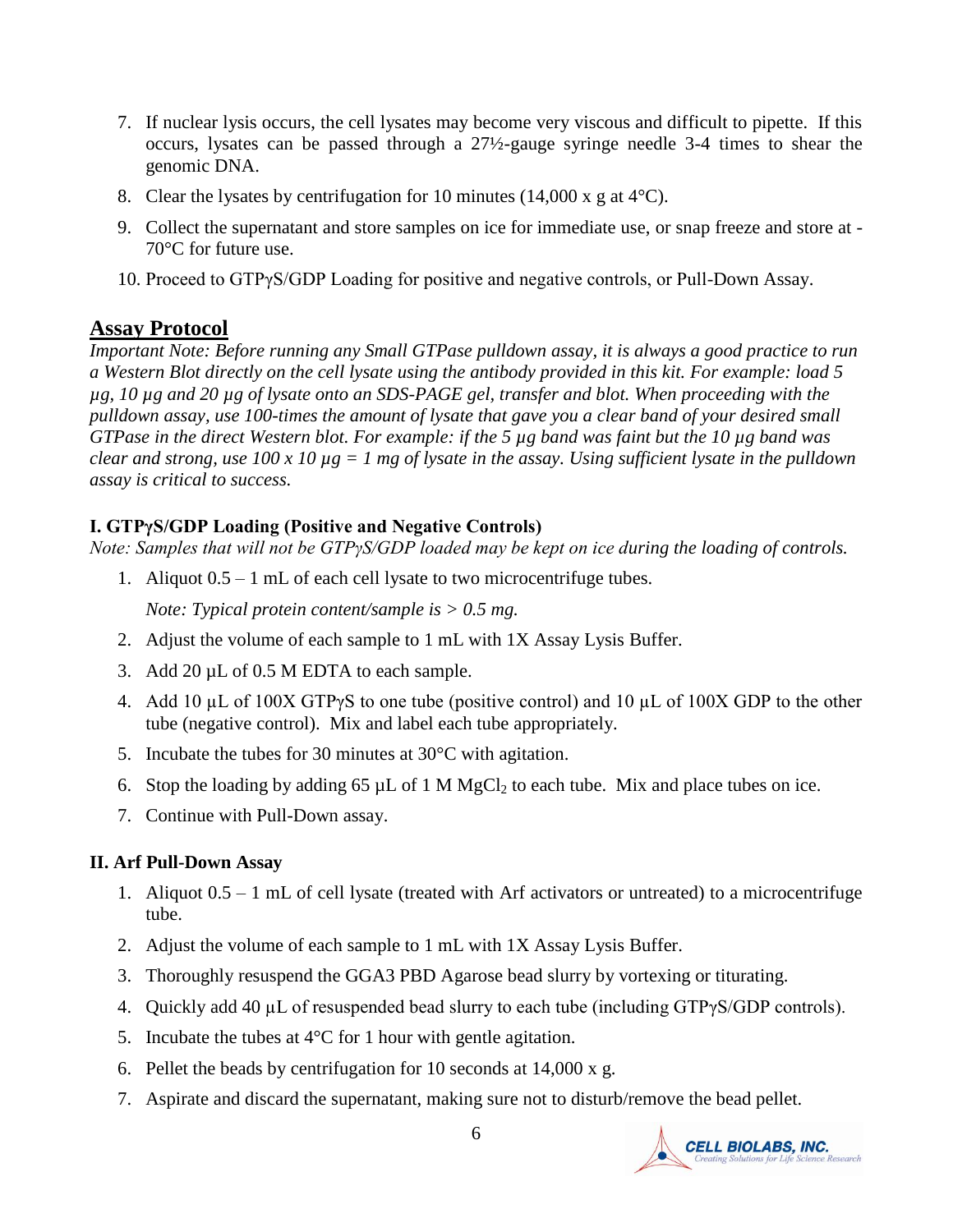- 7. If nuclear lysis occurs, the cell lysates may become very viscous and difficult to pipette. If this occurs, lysates can be passed through a 27½-gauge syringe needle 3-4 times to shear the genomic DNA.
- 8. Clear the lysates by centrifugation for 10 minutes  $(14,000 \times g)$  at 4<sup>o</sup>C).
- 9. Collect the supernatant and store samples on ice for immediate use, or snap freeze and store at 70°C for future use.
- 10. Proceed to GTPγS/GDP Loading for positive and negative controls, or Pull-Down Assay.

## **Assay Protocol**

*Important Note: Before running any Small GTPase pulldown assay, it is always a good practice to run a Western Blot directly on the cell lysate using the antibody provided in this kit. For example: load 5 µg, 10 µg and 20 µg of lysate onto an SDS-PAGE gel, transfer and blot. When proceeding with the pulldown assay, use 100-times the amount of lysate that gave you a clear band of your desired small GTPase in the direct Western blot. For example: if the 5 µg band was faint but the 10 µg band was clear and strong, use 100 x 10 µg = 1 mg of lysate in the assay. Using sufficient lysate in the pulldown assay is critical to success.*

#### **I. GTPγS/GDP Loading (Positive and Negative Controls)**

*Note: Samples that will not be GTPγS/GDP loaded may be kept on ice during the loading of controls.*

1. Aliquot 0.5 – 1 mL of each cell lysate to two microcentrifuge tubes.

*Note: Typical protein content/sample is > 0.5 mg.* 

- 2. Adjust the volume of each sample to 1 mL with 1X Assay Lysis Buffer.
- 3. Add 20 µL of 0.5 M EDTA to each sample.
- 4. Add 10 µL of 100X GTPγS to one tube (positive control) and 10 µL of 100X GDP to the other tube (negative control). Mix and label each tube appropriately.
- 5. Incubate the tubes for 30 minutes at 30°C with agitation.
- 6. Stop the loading by adding 65  $\mu$ L of 1 M MgCl<sub>2</sub> to each tube. Mix and place tubes on ice.
- 7. Continue with Pull-Down assay.

## **II. Arf Pull-Down Assay**

- 1. Aliquot 0.5 1 mL of cell lysate (treated with Arf activators or untreated) to a microcentrifuge tube.
- 2. Adjust the volume of each sample to 1 mL with 1X Assay Lysis Buffer.
- 3. Thoroughly resuspend the GGA3 PBD Agarose bead slurry by vortexing or titurating.
- 4. Quickly add 40 µL of resuspended bead slurry to each tube (including GTPγS/GDP controls).
- 5. Incubate the tubes at  $4^{\circ}$ C for 1 hour with gentle agitation.
- 6. Pellet the beads by centrifugation for 10 seconds at 14,000 x g.
- 7. Aspirate and discard the supernatant, making sure not to disturb/remove the bead pellet.

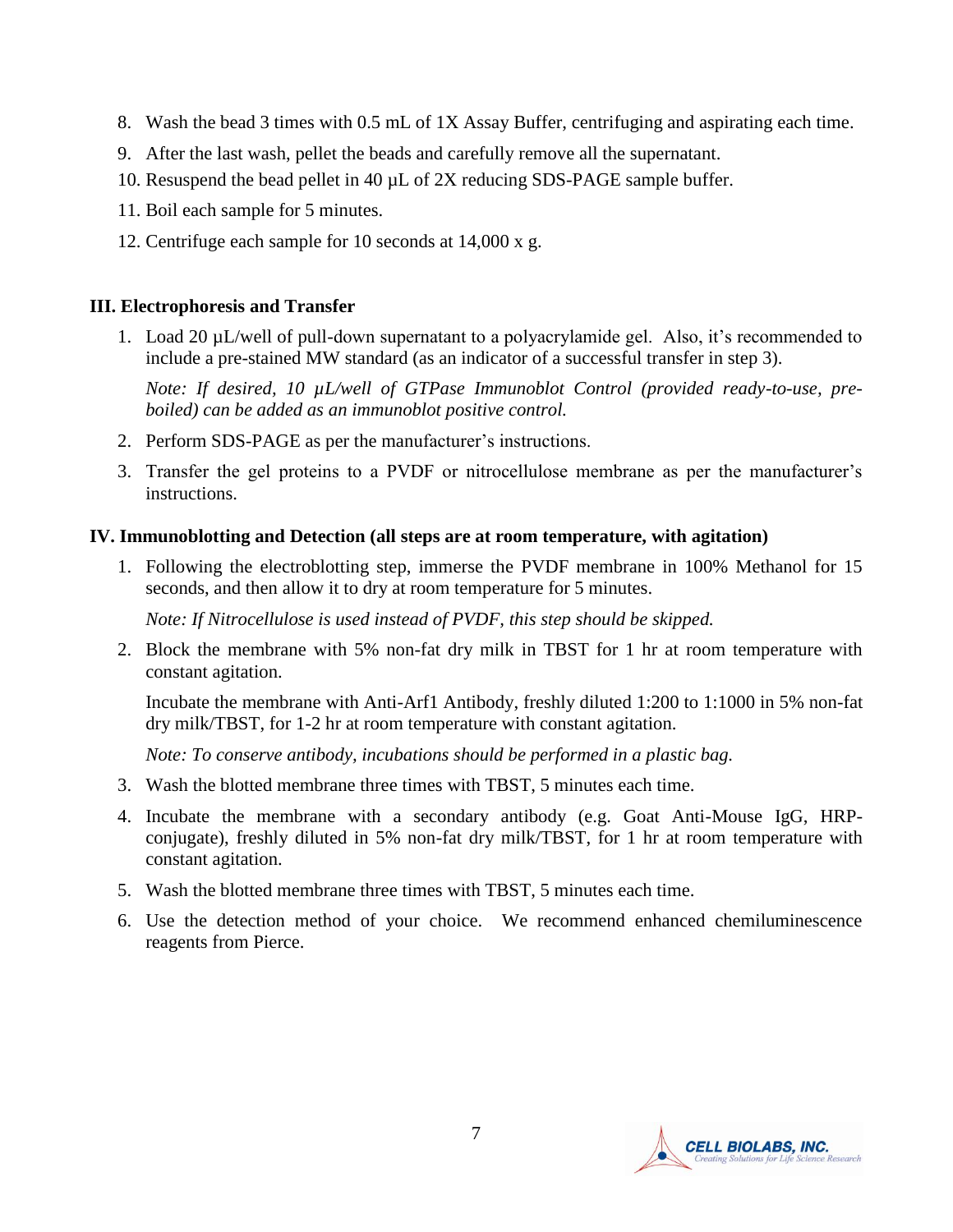- 8. Wash the bead 3 times with 0.5 mL of 1X Assay Buffer, centrifuging and aspirating each time.
- 9. After the last wash, pellet the beads and carefully remove all the supernatant.
- 10. Resuspend the bead pellet in 40 µL of 2X reducing SDS-PAGE sample buffer.
- 11. Boil each sample for 5 minutes.
- 12. Centrifuge each sample for 10 seconds at 14,000 x g.

#### **III. Electrophoresis and Transfer**

1. Load 20 µL/well of pull-down supernatant to a polyacrylamide gel. Also, it's recommended to include a pre-stained MW standard (as an indicator of a successful transfer in step 3).

*Note: If desired, 10 µL/well of GTPase Immunoblot Control (provided ready-to-use, preboiled) can be added as an immunoblot positive control.* 

- 2. Perform SDS-PAGE as per the manufacturer's instructions.
- 3. Transfer the gel proteins to a PVDF or nitrocellulose membrane as per the manufacturer's instructions.

#### **IV. Immunoblotting and Detection (all steps are at room temperature, with agitation)**

1. Following the electroblotting step, immerse the PVDF membrane in 100% Methanol for 15 seconds, and then allow it to dry at room temperature for 5 minutes.

*Note: If Nitrocellulose is used instead of PVDF, this step should be skipped.*

2. Block the membrane with 5% non-fat dry milk in TBST for 1 hr at room temperature with constant agitation.

Incubate the membrane with Anti-Arf1 Antibody, freshly diluted 1:200 to 1:1000 in 5% non-fat dry milk/TBST, for 1-2 hr at room temperature with constant agitation.

*Note: To conserve antibody, incubations should be performed in a plastic bag.*

- 3. Wash the blotted membrane three times with TBST, 5 minutes each time.
- 4. Incubate the membrane with a secondary antibody (e.g. Goat Anti-Mouse IgG, HRPconjugate), freshly diluted in 5% non-fat dry milk/TBST, for 1 hr at room temperature with constant agitation.
- 5. Wash the blotted membrane three times with TBST, 5 minutes each time.
- 6. Use the detection method of your choice. We recommend enhanced chemiluminescence reagents from Pierce.

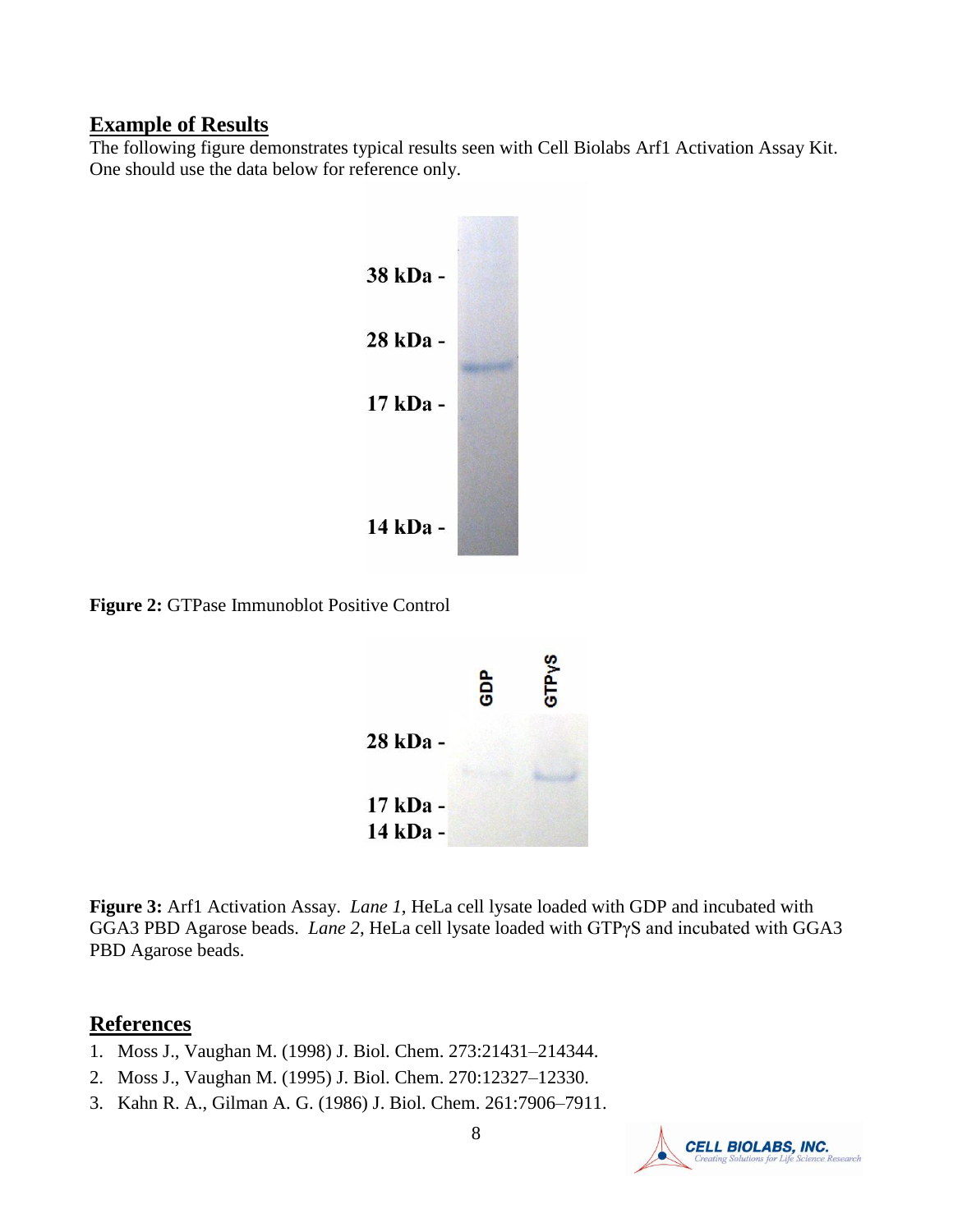#### **Example of Results**

The following figure demonstrates typical results seen with Cell Biolabs Arf1 Activation Assay Kit. One should use the data below for reference only.



**Figure 2:** GTPase Immunoblot Positive Control



**Figure 3:** Arf1 Activation Assay. *Lane 1*, HeLa cell lysate loaded with GDP and incubated with GGA3 PBD Agarose beads. *Lane 2*, HeLa cell lysate loaded with GTPγS and incubated with GGA3 PBD Agarose beads.

#### **References**

- 1. Moss J., Vaughan M. (1998) J. Biol. Chem. 273:21431–214344.
- 2. Moss J., Vaughan M. (1995) J. Biol. Chem. 270:12327–12330.
- 3. Kahn R. A., Gilman A. G. (1986) J. Biol. Chem. 261:7906–7911.